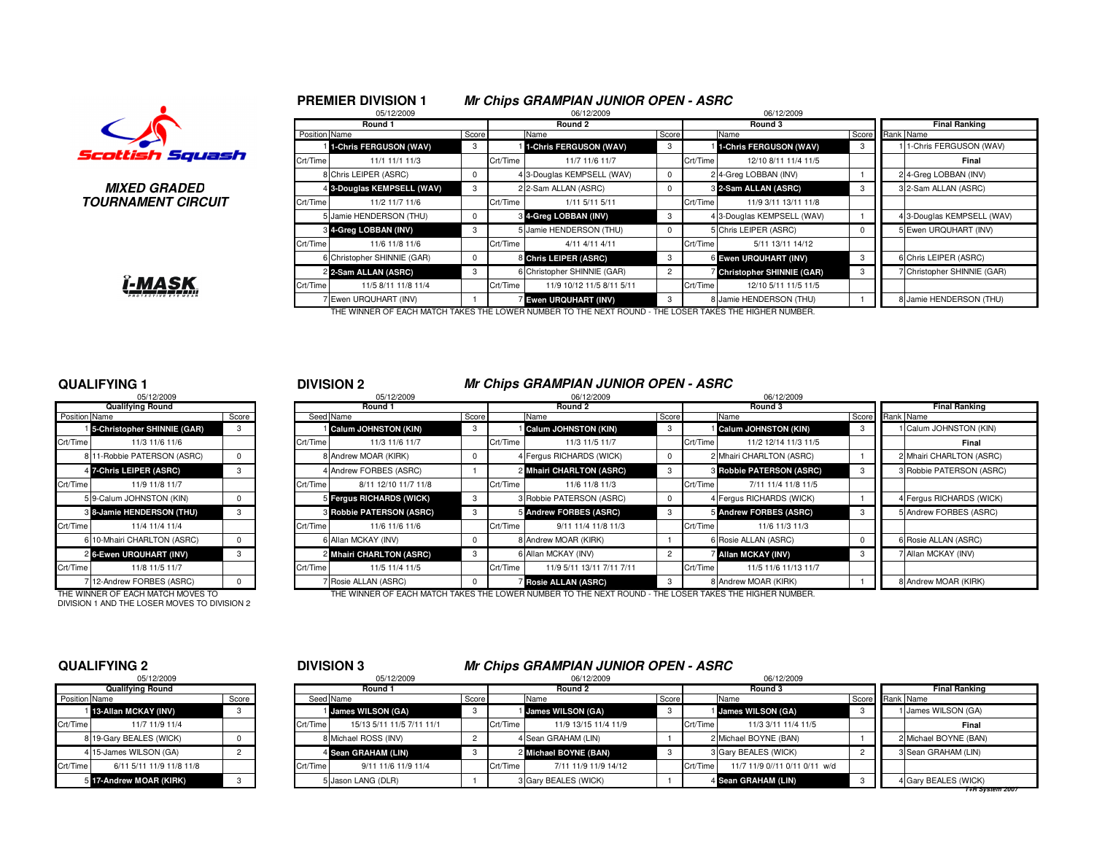#### **PREMIER DIVISION 1**05/12/2009

# **Mr Chips GRAMPIAN JUNIOR OPEN - ASRC** 06/12/2009 06/12/2009



**MIXED GRADEDTOURNAMENT CIRCUIT**

## I-MAS

|               | --------                    |       |          | --------                                                                                               |            |          | $\sim$ $\sim$ $\sim$ $\sim$ $\sim$ $\sim$ |                 |                             |
|---------------|-----------------------------|-------|----------|--------------------------------------------------------------------------------------------------------|------------|----------|-------------------------------------------|-----------------|-----------------------------|
|               | Round 1                     |       |          | Round 2                                                                                                |            |          | Round 3                                   |                 | <b>Final Ranking</b>        |
| Position Name |                             | Score |          | Name                                                                                                   | Score      |          | Name                                      | Score Rank Name |                             |
|               | 1-Chris FERGUSON (WAV)      | 3     |          | 1-Chris FERGUSON (WAV)                                                                                 | 3          |          | 1-Chris FERGUSON (WAV)                    | 3               | 1-Chris FERGUSON (WAV)      |
| Crt/Time      | 11/1 11/1 11/3              |       | Crt/Time | 11/7 11/6 11/7                                                                                         |            | Crt/Time | 12/10 8/11 11/4 11/5                      |                 | Final                       |
|               | 8 Chris LEIPER (ASRC)       | 0     |          | 4 3-Douglas KEMPSELL (WAV)                                                                             | $^{\circ}$ |          | 2 4-Greg LOBBAN (INV)                     |                 | 2 4-Greg LOBBAN (INV)       |
|               | 4 3-Douglas KEMPSELL (WAV)  | 3     |          | 2 2-Sam ALLAN (ASRC)                                                                                   | $^{\circ}$ |          | 3 2-Sam ALLAN (ASRC)                      | 3               | 3 2-Sam ALLAN (ASRC)        |
| Crt/Time      | 11/2 11/7 11/6              |       | Crt/Time | 1/11 5/11 5/11                                                                                         |            | Crt/Time | 11/9 3/11 13/11 11/8                      |                 |                             |
|               | 5 Jamie HENDERSON (THU)     | 0     |          | 3 4-Greg LOBBAN (INV)                                                                                  | 3          |          | 4 3-Douglas KEMPSELL (WAV)                |                 | 4 3-Douglas KEMPSELL (WAV)  |
|               | 3 4-Greg LOBBAN (INV)       | 3     |          | 5 Jamie HENDERSON (THU)                                                                                | $^{\circ}$ |          | 5 Chris LEIPER (ASRC)                     | $\Omega$        | 5 Ewen URQUHART (INV)       |
| Crt/Time      | 11/6 11/8 11/6              |       | Crt/Time | 4/11 4/11 4/11                                                                                         |            | Crt/Time | 5/11 13/11 14/12                          |                 |                             |
|               | 6 Christopher SHINNIE (GAR) | 0     |          | 8 Chris LEIPER (ASRC)                                                                                  | 3          |          | 6 Ewen URQUHART (INV)                     | 3               | 6 Chris LEIPER (ASRC)       |
|               | 2 2-Sam ALLAN (ASRC)        | 3     |          | 6 Christopher SHINNIE (GAR)                                                                            | 2          |          | Christopher SHINNIE (GAR)                 | 3               | 7 Christopher SHINNIE (GAR) |
| Crt/Time      | 11/5 8/11 11/8 11/4         |       | Crt/Time | 11/9 10/12 11/5 8/11 5/11                                                                              |            | Crt/Time | 12/10 5/11 11/5 11/5                      |                 |                             |
|               | Ewen URQUHART (INV)         |       |          | <b>Ewen URQUHART (INV)</b>                                                                             | 3          |          | 8 Jamie HENDERSON (THU)                   |                 | 8 Jamie HENDERSON (THU)     |
|               |                             |       |          | THE WINNER OF FACH MATCH TAKES THE LOWER NUMBER TO THE NEXT ROUND - THE LOSER TAKES THE HIGHER NUMBER. |            |          |                                           |                 |                             |

R OF EACH MATCH TAKES THE LOWER NUMBER TO THE NEXT ROUND - THE LOSER TAKES THE HIGHER NU

#### **QUALIFYING 1**

|               | 05/12/2009                          |       |                |
|---------------|-------------------------------------|-------|----------------|
|               | <b>Qualifying Round</b>             |       |                |
| Position Name |                                     | Score | Seed           |
|               | <b>15-Christopher SHINNIE (GAR)</b> | 3     |                |
| Crt/Time      | 11/3 11/6 11/6                      |       | Crt/Time       |
|               | 8 11-Robbie PATERSON (ASRC)         | 0     | 8              |
|               | 4 7-Chris LEIPER (ASRC)             | 3     | 4              |
| Crt/Time      | 11/9 11/8 11/7                      |       | Crt/Time       |
|               | 5 9-Calum JOHNSTON (KIN)            | 0     | 5              |
|               | 8 8-Jamie HENDERSON (THU)           | 3     | 3              |
| Crt/Time      | 11/4 11/4 11/4                      |       | Crt/Time       |
|               | 6 10-Mhairi CHARLTON (ASRC)         | 0     | 6              |
|               | 26-Ewen URQUHART (INV)              | 3     | $\overline{c}$ |
| Crt/Time      | 11/8 11/5 11/7                      |       | Crt/Time       |
|               | 7 12-Andrew FORBES (ASRC)           | 0     | 7              |

DIVISION 1 AND THE LOSER MOVES TO DIVISION 2

#### <sup>1</sup> <sup>2</sup> **DIVISION 2 Mr Chips GRAMPIAN JUNIOR OPEN - ASRC**

|               | 05/12/2009                        |       |          | 05/12/2009                      |       |          | 06/12/2009                                                          |            |          | 06/12/2009                 |                 |                          |
|---------------|-----------------------------------|-------|----------|---------------------------------|-------|----------|---------------------------------------------------------------------|------------|----------|----------------------------|-----------------|--------------------------|
|               | <b>Qualifying Round</b>           |       |          | Round 1                         |       |          | Round 2                                                             |            |          | Round 3                    |                 | <b>Final Ranking</b>     |
| Position Name |                                   | Score |          | Seed Name                       | Score |          | Name                                                                | Score      |          | Name                       | Score Rank Name |                          |
|               | 5-Christopher SHINNIE (GAR)       |       |          | Calum JOHNSTON (KIN)            |       |          | Calum JOHNSTON (KIN)                                                | -3         |          | Calum JOHNSTON (KIN)       | -3              | Calum JOHNSTON (KIN)     |
| Crt/Time      | 11/3 11/6 11/6                    |       | Crt/Time | 11/3 11/6 11/7                  |       | Crt/Time | 11/3 11/5 11/7                                                      |            | Crt/Time | 11/2 12/14 11/3 11/5       |                 | Final                    |
|               | 8 11-Robbie PATERSON (ASRC)       |       |          | 8 Andrew MOAR (KIRK)            |       |          | 4 Fergus RICHARDS (WICK)                                            |            |          | 2 Mhairi CHARLTON (ASRC)   |                 | 2 Mhairi CHARLTON (ASRC) |
|               | 4 7-Chris LEIPER (ASRC)           |       |          | 4 Andrew FORBES (ASRC)          |       |          | 2 Mhairi CHARLTON (ASRC)                                            | -3         |          | 3 Robbie PATERSON (ASRC)   | 3               | 3 Robbie PATERSON (ASRC) |
| Crt/Time      | 11/9 11/8 11/7                    |       | Crt/Time | 8/11 12/10 11/7 11/8            |       | Crt/Time | 11/6 11/8 11/3                                                      |            | Crt/Time | 7/11 11/4 11/8 11/5        |                 |                          |
|               | 5 9-Calum JOHNSTON (KIN)          |       |          | 5 Fergus RICHARDS (WICK)        |       |          | 3 Robbie PATERSON (ASRC)                                            |            |          | 4 Fergus RICHARDS (WICK)   |                 | 4 Fergus RICHARDS (WICK) |
|               | 3 8-Jamie HENDERSON (THU)         |       |          | <b>8 Robbie PATERSON (ASRC)</b> |       |          | 5 Andrew FORBES (ASRC)                                              | -3         |          | 5 Andrew FORBES (ASRC)     | 3               | 5 Andrew FORBES (ASRC)   |
| Crt/Time      | 11/4 11/4 11/4                    |       | Crt/Time | 11/6 11/6 11/6                  |       | Crt/Time | 9/11 11/4 11/8 11/3                                                 |            | Crt/Time | 11/6 11/3 11/3             |                 |                          |
|               | 6 10-Mhairi CHARLTON (ASRC)       |       |          | 6 Allan MCKAY (INV)             |       |          | 8 Andrew MOAR (KIRK)                                                |            |          | 6 Rosie ALLAN (ASRC)       | 0               | 6 Rosie ALLAN (ASRC)     |
|               | 2 6-Ewen URQUHART (INV)           |       |          | 2 Mhairi CHARLTON (ASRC)        |       |          | 6 Allan MCKAY (INV)                                                 |            |          | <b>Z Allan MCKAY (INV)</b> | 3               | 7 Allan MCKAY (INV)      |
| Crt/Time      | 11/8 11/5 11/7                    |       | Crt/Time | 11/5 11/4 11/5                  |       | Crt/Time | 11/9 5/11 13/11 7/11 7/11                                           |            | Crt/Time | 11/5 11/6 11/13 11/7       |                 |                          |
|               | 12-Andrew FORBES (ASRC)           |       |          | Rosie ALLAN (ASRC)              |       |          | <b>Bosie ALLAN (ASRC)</b>                                           | -3         |          | 8 Andrew MOAR (KIRK)       |                 | 8 Andrew MOAR (KIRK)     |
|               | THE WINNER OF EACH MATCH MOVES TO |       |          |                                 |       |          | THE WINNER OF EACH MATCH TAKES THE LOWER NUMBER TO THE NEXT ROUND - | HE LOSER ' |          | TAKES THE HIGHER NUMBER.   |                 |                          |

#### **QUALIFYING 2**

|               | 05/12/2009               |                |          |
|---------------|--------------------------|----------------|----------|
|               | <b>Qualifying Round</b>  |                |          |
| Position Name |                          | Score          | Seed     |
|               | 113-Allan MCKAY (INV)    | 3              |          |
| Crt/Time      | 11/7 11/9 11/4           |                | Crt/Time |
|               | 8 19-Gary BEALES (WICK)  |                | 8        |
|               | 4 15-James WILSON (GA)   | $\overline{c}$ | 4        |
| Crt/Time      | 6/11 5/11 11/9 11/8 11/8 |                | Crt/Time |
|               | 5 17-Andrew MOAR (KIRK)  | 3              | 5        |

## <sup>2</sup> <sup>3</sup> **DIVISION 3 Mr Chips GRAMPIAN JUNIOR OPEN - ASRC**

|               | 05/12/2009               |       |          | 05/12/2009                |       |          | 06/12/2009                 |       |          | 06/12/2009                    |                 |                       |
|---------------|--------------------------|-------|----------|---------------------------|-------|----------|----------------------------|-------|----------|-------------------------------|-----------------|-----------------------|
|               | <b>Qualifying Round</b>  |       |          | Round 1                   |       |          | Round 2                    |       |          | Round 3                       |                 | <b>Final Ranking</b>  |
| Position Name |                          | Score |          | Seed Name                 | Score |          | Name                       | Score |          | Name                          | Score Rank Name |                       |
|               | 13-Allan MCKAY (INV)     |       |          | 1 James WILSON (GA)       |       |          | <b>i</b> James WILSON (GA) |       |          | <b>i</b> James WILSON (GA)    |                 | James WILSON (GA)     |
| Crt/Time      | 11/7 11/9 11/4           |       | Crt/Time | 15/13 5/11 11/5 7/11 11/1 |       | Crt/Time | 11/9 13/15 11/4 11/9       |       | Crt/Time | 11/3 3/11 11/4 11/5           |                 | Final                 |
|               | 8 19-Gary BEALES (WICK)  |       |          | 8 Michael ROSS (INV)      |       |          | 4 Sean GRAHAM (LIN)        |       |          | 2 Michael BOYNE (BAN)         |                 | 2 Michael BOYNE (BAN) |
|               | 4 15-James WILSON (GA)   |       |          | 4 Sean GRAHAM (LIN)       |       |          | 2 Michael BOYNE (BAN)      |       |          | 3 Gary BEALES (WICK)          |                 | 3 Sean GRAHAM (LIN)   |
| Crt/Time      | 6/11 5/11 11/9 11/8 11/8 |       | Crt/Time | 9/11 11/6 11/9 11/4       |       | Crt/Time | 7/11 11/9 11/9 14/12       |       | Crt/Time | 11/7 11/9 0//11 0/11 0/11 w/d |                 |                       |
|               | 5 17-Andrew MOAR (KIRK)  |       |          | 5 Jason LANG (DLR)        |       |          | 3 Gary BEALES (WICK)       |       |          | 4 Sean GRAHAM (LIN)           |                 | 4 Gary BEALES (WICK)  |

**T+R System 2007**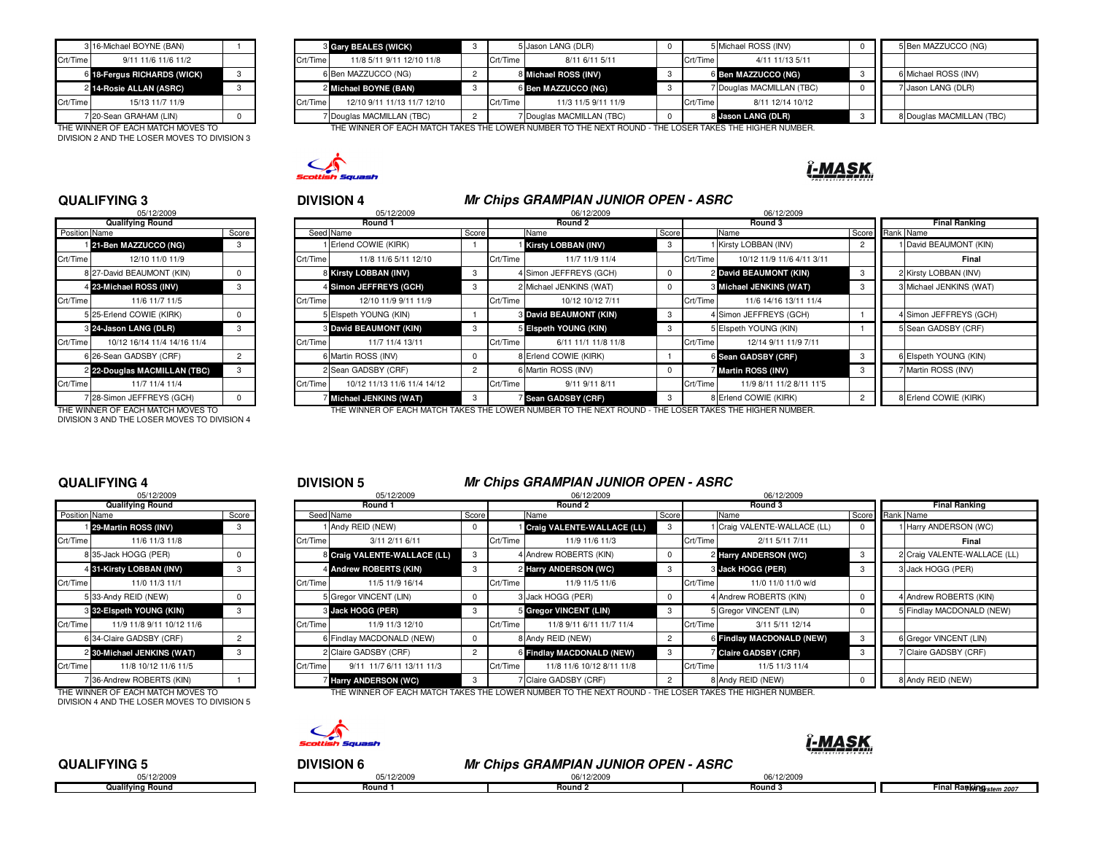|          | 3 16-Michael BOYNE (BAN)    |  | з        |
|----------|-----------------------------|--|----------|
| Crt/Time | 9/11 11/6 11/6 11/2         |  | Crt/Time |
|          | 6 18-Fergus RICHARDS (WICK) |  | 6        |
|          | 2 14-Rosie ALLAN (ASRC)     |  | 2        |
| Crt/Time | 15/13 11/7 11/9             |  | Crt/Time |
|          | 7 20-Sean GRAHAM (LIN)      |  |          |

DIVISION 2 AND THE LOSER MOVES TO DIVISION 3

|          | 3 16-Michael BOYNE (BAN)          |  |          | <b>8 Gary BEALES (WICK)</b> |          | 5 Jason LANG (DLR)                                                                                    |          | 5 Michael ROSS (INV)      |  | 5 Ben MAZZUCCO (NG)       |
|----------|-----------------------------------|--|----------|-----------------------------|----------|-------------------------------------------------------------------------------------------------------|----------|---------------------------|--|---------------------------|
| Crt/Time | 9/11 11/6 11/6 11/2               |  | Crt/Time | 11/8 5/11 9/11 12/10 11/8   | Crt/Time | 8/11 6/11 5/11                                                                                        | Crt/Time | 4/11 11/13 5/11           |  |                           |
|          | 6 18-Fergus RICHARDS (WICK)       |  |          | 6 Ben MAZZUCCO (NG)         |          | 8 Michael ROSS (INV)                                                                                  |          | 6 Ben MAZZUCCO (NG)       |  | 6 Michael ROSS (INV)      |
|          | 2 14-Rosie ALLAN (ASRC)           |  |          | 2 Michael BOYNE (BAN)       |          | 6 Ben MAZZUCCO (NG)                                                                                   |          | 7 Douglas MACMILLAN (TBC) |  | Jason LANG (DLR)          |
| Crt/Time | 15/13 11/7 11/9                   |  | Crt/Time | 12/10 9/11 11/13 11/7 12/10 | Crt/Time | 11/3 11/5 9/11 11/9                                                                                   | Crt/Time | 8/11 12/14 10/12          |  |                           |
|          | 7 20-Sean GRAHAM (LIN)            |  |          | 7 Douglas MACMILLAN (TBC)   |          | 7 Douglas MACMILLAN (TBC)                                                                             |          | 8 Jason LANG (DLR)        |  | 8 Douglas MACMILLAN (TBC) |
|          | THE WINNER OF FACULUMENT HOURS TO |  |          |                             |          | THE WINNER OF EACH MATCH TAKES THE LOWER NUMBER TO THE NEVER BOUND. THE LOGER TAKES THE HIGHER NUMBER |          |                           |  |                           |

THE WINNER OF EACH MATCH MOVES TO THE WINNER OF EACH MATCH TAKES THE LOWER NUMBER TO THE NEXT ROUND - THE LOSER TAKES THE HIGHER NUMBER.



#### **QUALIFYING 3**

|               | 05/12/2009                   |                |          | 05/12/2009               |
|---------------|------------------------------|----------------|----------|--------------------------|
|               | <b>Qualifying Round</b>      |                |          | Round 1                  |
| Position Name |                              | Score          |          | Seed Name                |
|               | 21-Ben MAZZUCCO (NG)         | 3              |          | Erlend COWIE (KIRK)      |
| Crt/Time      | 12/10 11/0 11/9              |                | Crt/Time | 11/8 11/6 5/11 12/10     |
|               | 8 27-David BEAUMONT (KIN)    | $\Omega$       |          | 8 Kirsty LOBBAN (INV)    |
|               | 4 23-Michael ROSS (INV)      | 3              |          | 4 Simon JEFFREYS (GCH)   |
| Crt/Time      | 11/6 11/7 11/5               |                | Crt/Time | 12/10 11/9 9/11 11/9     |
|               | 5 25-Erlend COWIE (KIRK)     | $\Omega$       |          | Elspeth YOUNG (KIN)      |
|               | 3 24-Jason LANG (DLR)        | 3              |          | 8 David BEAUMONT (KIN)   |
| Crt/Time      | 10/12 16/14 11/4 14/16 11/4  |                | Crt/Time | 11/7 11/4 13/11          |
|               | 6 26-Sean GADSBY (CRF)       | $\overline{2}$ |          | 6 Martin ROSS (INV)      |
|               | 2 22-Douglas MACMILLAN (TBC) | 3              |          | Sean GADSBY (CRF)        |
| Crt/Time      | 11/7 11/4 11/4               |                | Crt/Time | 10/12 11/13 11/6 11/4 14 |
|               | 28-Simon JEFFREYS (GCH)      | 0              |          | 7 Michael JENKINS (WAT)  |
|               |                              |                |          |                          |

DIVISION 3 AND THE LOSER MOVES TO DIVISION 4

## <sup>3</sup> <sup>4</sup> **DIVISION 4 Mr Chips GRAMPIAN JUNIOR OPEN - ASRC**

|               | 05/12/2009                   |       |          | 05/12/2009                    |       |          | 06/12/2009                    |       |          | 06/12/2009                |                 |                         |
|---------------|------------------------------|-------|----------|-------------------------------|-------|----------|-------------------------------|-------|----------|---------------------------|-----------------|-------------------------|
|               | <b>Qualifying Round</b>      |       |          | Round 1                       |       |          | Round 2                       |       |          | Round 3                   |                 | <b>Final Ranking</b>    |
| Position Name |                              | Score |          | Seed Name                     | Score |          | Name                          | Score |          | Name                      | Score Rank Name |                         |
|               | 121-Ben MAZZUCCO (NG)        |       |          | I Erlend COWIE (KIRK)         |       |          | Kirsty LOBBAN (INV)           |       |          | 1 Kirsty LOBBAN (INV)     |                 | David BEAUMONT (KIN)    |
| Crt/Time      | 12/10 11/0 11/9              |       | Crt/Time | 11/8 11/6 5/11 12/10          |       | Crt/Time | 11/7 11/9 11/4                |       | Crt/Time | 10/12 11/9 11/6 4/11 3/11 |                 | Final                   |
|               | 8 27-David BEAUMONT (KIN)    |       |          | 8 Kirsty LOBBAN (INV)         | -3    |          | 4 Simon JEFFREYS (GCH)        |       |          | 2 David BEAUMONT (KIN)    |                 | 2 Kirsty LOBBAN (INV)   |
|               | 4 23-Michael ROSS (INV)      |       |          | 4 Simon JEFFREYS (GCH)        |       |          | 2 Michael JENKINS (WAT)       |       |          | 3 Michael JENKINS (WAT)   |                 | 3 Michael JENKINS (WAT) |
| Crt/Time      | 11/6 11/7 11/5               |       | Crt/Time | 12/10 11/9 9/11 11/9          |       | Crt/Time | 10/12 10/12 7/11              |       | Crt/Time | 11/6 14/16 13/11 11/4     |                 |                         |
|               | 5 25-Erlend COWIE (KIRK)     |       |          | 5 Elspeth YOUNG (KIN)         |       |          | <b>8 David BEAUMONT (KIN)</b> | -3    |          | 4 Simon JEFFREYS (GCH)    |                 | 4 Simon JEFFREYS (GCH)  |
|               | 3 24-Jason LANG (DLR)        |       |          | <b>8 David BEAUMONT (KIN)</b> |       |          | 5 Elspeth YOUNG (KIN)         |       |          | 5 Elspeth YOUNG (KIN)     |                 | 5 Sean GADSBY (CRF)     |
| Crt/Time      | 10/12 16/14 11/4 14/16 11/4  |       | Crt/Time | 11/7 11/4 13/11               |       | Crt/Time | 6/11 11/1 11/8 11/8           |       | Crt/Time | 12/14 9/11 11/9 7/11      |                 |                         |
|               | 6 26-Sean GADSBY (CRF)       |       |          | 6 Martin ROSS (INV)           |       |          | 8 Erlend COWIE (KIRK)         |       |          | 6 Sean GADSBY (CRF)       |                 | 6 Elspeth YOUNG (KIN)   |
|               | 2 22-Douglas MACMILLAN (TBC) |       |          | 2 Sean GADSBY (CRF)           |       |          | 6 Martin ROSS (INV)           |       |          | 7 Martin ROSS (INV)       |                 | 7 Martin ROSS (INV)     |
| Crt/Time      | 11/7 11/4 11/4               |       | Crt/Time | 10/12 11/13 11/6 11/4 14/12   |       | Crt/Time | 9/11 9/11 8/11                |       | Crt/Time | 11/9 8/11 11/2 8/11 11'5  |                 |                         |
|               | 7 28-Simon JEFFREYS (GCH)    |       |          | Michael JENKINS (WAT)         |       |          | Sean GADSBY (CRF)             |       |          | 8 Erlend COWIE (KIRK)     |                 | 8 Erlend COWIE (KIRK)   |
|               |                              |       |          |                               |       |          |                               |       |          |                           |                 |                         |

THE WINNER OF EACH MATCH MOVES TO THE WINNER OF EACH MATCH TAKES THE LOWER NUMBER TO THE NEXT ROUND - THE LOSER TAKES THE HIGHER NUMBER.

#### **QUALIFYING 4**

|               | 05/12/2009                 |                |                |
|---------------|----------------------------|----------------|----------------|
|               | Qualifying Round           |                |                |
| Position Name |                            | Score          | Seed           |
|               | 29-Martin ROSS (INV)       | 3              |                |
| Crt/Time      | 11/6 11/3 11/8             |                | Crt/Time       |
|               | 8 35-Jack HOGG (PER)       | 0              | 8              |
|               | 4 31-Kirsty LOBBAN (INV)   | 3              | 4              |
| Crt/Time      | 11/0 11/3 11/1             |                | Crt/Time       |
|               | 5 33-Andy REID (NEW)       | $\Omega$       | 5              |
|               | 3 32-Eispeth YOUNG (KIN)   | 3              | 3              |
| Crt/Time      | 11/9 11/8 9/11 10/12 11/6  |                | Crt/Time       |
|               | 6 34-Claire GADSBY (CRF)   | $\overline{c}$ | 6              |
|               | 2 30-Michael JENKINS (WAT) | 3              | $\overline{c}$ |
| Crt/Time      | 11/8 10/12 11/6 11/5       |                | Crt/Time       |
|               | 36-Andrew ROBERTS (KIN)    |                |                |

DIVISION 4 AND THE LOSER MOVES TO DIVISION 5

### <sup>4</sup> <sup>5</sup> **DIVISION 5 Mr Chips GRAMPIAN JUNIOR OPEN - ASRC**

|               | 05/12/2009                        |       |          | 05/12/2009                   |            |          | 06/12/2009                 |       | 06/12/2009                                                                                            |                 |                              |
|---------------|-----------------------------------|-------|----------|------------------------------|------------|----------|----------------------------|-------|-------------------------------------------------------------------------------------------------------|-----------------|------------------------------|
|               | <b>Qualifying Round</b>           |       |          | Round 1                      |            |          | Round 2                    |       | Round 3                                                                                               |                 | <b>Final Ranking</b>         |
| Position Name |                                   | Score |          | Seed Name                    | Score      |          | Name                       | Score | Name                                                                                                  | Score Rank Name |                              |
|               | 129-Martin ROSS (INV)             | -3    |          | 1 Andy REID (NEW)            | $^{\circ}$ |          | Craig VALENTE-WALLACE (LL) |       | 1 Craig VALENTE-WALLACE (LL)                                                                          |                 | Harry ANDERSON (WC)          |
| Crt/Time      | 11/6 11/3 11/8                    |       | Crt/Time | 3/11 2/11 6/11               |            | Crt/Time | 11/9 11/6 11/3             |       | Crt/Time<br>2/11 5/11 7/11                                                                            |                 | Final                        |
|               | 8 35-Jack HOGG (PER)              |       |          | 8 Craig VALENTE-WALLACE (LL) |            |          | 4 Andrew ROBERTS (KIN)     |       | 2 Harry ANDERSON (WC)                                                                                 |                 | 2 Craig VALENTE-WALLACE (LL) |
|               | 4 31-Kirsty LOBBAN (INV)          |       |          | 4 Andrew ROBERTS (KIN)       |            |          | 2 Harry ANDERSON (WC)      |       | 3 Jack HOGG (PER)                                                                                     |                 | 3 Jack HOGG (PER)            |
| Crt/Time      | 11/0 11/3 11/1                    |       | Crt/Time | 11/5 11/9 16/14              |            | Crt/Time | 11/9 11/5 11/6             |       | Crt/Time<br>11/0 11/0 11/0 w/d                                                                        |                 |                              |
|               | 5 33-Andy REID (NEW)              |       |          | 5 Gregor VINCENT (LIN)       |            |          | 3 Jack HOGG (PER)          |       | 4 Andrew ROBERTS (KIN)                                                                                |                 | 4 Andrew ROBERTS (KIN)       |
|               | 3 32-Eispeth YOUNG (KIN)          |       |          | 3 Jack HOGG (PER)            |            |          | 5 Gregor VINCENT (LIN)     |       | 5 Gregor VINCENT (LIN)                                                                                |                 | Findlay MACDONALD (NEW)      |
| Crt/Time      | 11/9 11/8 9/11 10/12 11/6         |       | Crt/Time | 11/9 11/3 12/10              |            | Crt/Time | 11/8 9/11 6/11 11/7 11/4   |       | Crt/Time<br>3/11 5/11 12/14                                                                           |                 |                              |
|               | 6 34-Claire GADSBY (CRF)          |       |          | 6 Findlay MACDONALD (NEW)    |            |          | 8 Andy REID (NEW)          |       | 6 Findlay MACDONALD (NEW)                                                                             |                 | 6 Gregor VINCENT (LIN)       |
|               | 2 30-Michael JENKINS (WAT)        | -3    |          | 2 Claire GADSBY (CRF)        |            |          | 6 Findlay MACDONALD (NEW)  |       | <b>Z</b> Claire GADSBY (CRF)                                                                          |                 | 7 Claire GADSBY (CRF)        |
| Crt/Time I    | 11/8 10/12 11/6 11/5              |       | Crt/Time | 9/11 11/7 6/11 13/11 11/3    |            | Crt/Time | 11/8 11/6 10/12 8/11 11/8  |       | Crt/Time<br>11/5 11/3 11/4                                                                            |                 |                              |
|               | 7 36-Andrew ROBERTS (KIN)         |       |          | Harry ANDERSON (WC)          |            |          | 7 Claire GADSBY (CRF)      |       | 8 Andy REID (NEW)                                                                                     |                 | 8 Andy REID (NEW)            |
|               | THE WINNER OF EACH MATCH MOVES TO |       |          |                              |            |          |                            |       | THE WINNER OF EACH MATCH TAKES THE LOWER NUMBER TO THE NEXT ROUND . THE LOSER TAKES THE HIGHER NUMBER |                 |                              |

THE WINNER OF EACH MATCH MOVES TO THE THE WINNER OF EACH MATCH TAKES THE LOWER NUMBER TO THE NEXT ROUND - THE LOSER TAKES THE HIGHER I



#### **QUALIFYING 5**

05/12/2009**Qualifying Round**

|  |  | И |  |  | <b>TAS</b><br>- 5   |  |  |  |  |
|--|--|---|--|--|---------------------|--|--|--|--|
|  |  |   |  |  |                     |  |  |  |  |
|  |  |   |  |  |                     |  |  |  |  |
|  |  |   |  |  | PROTECTIVE EYE WEAR |  |  |  |  |

 <sup>5</sup> <sup>6</sup> **DIVISION 6 Mr Chips GRAMPIAN JUNIOR OPEN - ASRC** <sup>8</sup> 05/12/2009 06/12/2009 06/12/2009 **Round 3**d Round 1 **Round 1 Round 2 Round 2 Round 2 Round 3 Round 3 Round 3 Final Ranking** *stem 2007*